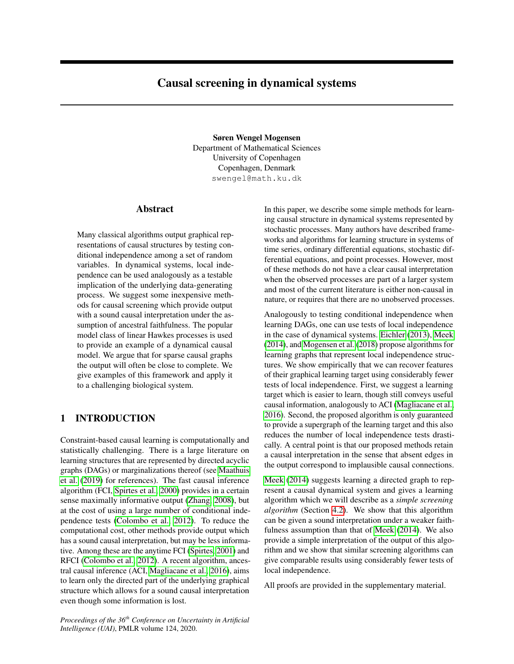# <span id="page-0-0"></span>Causal screening in dynamical systems

Søren Wengel Mogensen Department of Mathematical Sciences University of Copenhagen Copenhagen, Denmark swengel@math.ku.dk

## Abstract

Many classical algorithms output graphical representations of causal structures by testing conditional independence among a set of random variables. In dynamical systems, local independence can be used analogously as a testable implication of the underlying data-generating process. We suggest some inexpensive methods for causal screening which provide output with a sound causal interpretation under the assumption of ancestral faithfulness. The popular model class of linear Hawkes processes is used to provide an example of a dynamical causal model. We argue that for sparse causal graphs the output will often be close to complete. We give examples of this framework and apply it to a challenging biological system.

# 1 INTRODUCTION

Constraint-based causal learning is computationally and statistically challenging. There is a large literature on learning structures that are represented by directed acyclic graphs (DAGs) or marginalizations thereof (see [Maathuis](#page-8-0) [et al.](#page-8-0) [\(2019\)](#page-8-0) for references). The fast causal inference algorithm (FCI, [Spirtes et al., 2000\)](#page-9-0) provides in a certain sense maximally informative output [\(Zhang, 2008\)](#page-9-1), but at the cost of using a large number of conditional independence tests [\(Colombo et al., 2012\)](#page-8-1). To reduce the computational cost, other methods provide output which has a sound causal interpretation, but may be less informative. Among these are the anytime FCI [\(Spirtes, 2001\)](#page-8-2) and RFCI [\(Colombo et al., 2012\)](#page-8-1). A recent algorithm, ancestral causal inference (ACI, [Magliacane et al., 2016\)](#page-8-3), aims to learn only the directed part of the underlying graphical structure which allows for a sound causal interpretation even though some information is lost.

*Proceedings of the 36th Conference on Uncertainty in Artificial Intelligence (UAI)*, PMLR volume 124, 2020.

In this paper, we describe some simple methods for learning causal structure in dynamical systems represented by stochastic processes. Many authors have described frameworks and algorithms for learning structure in systems of time series, ordinary differential equations, stochastic differential equations, and point processes. However, most of these methods do not have a clear causal interpretation when the observed processes are part of a larger system and most of the current literature is either non-causal in nature, or requires that there are no unobserved processes.

Analogously to testing conditional independence when learning DAGs, one can use tests of local independence in the case of dynamical systems. [Eichler](#page-8-4) [\(2013\)](#page-8-4), [Meek](#page-8-5) [\(2014\)](#page-8-5), and [Mogensen et al.](#page-8-6) [\(2018\)](#page-8-6) propose algorithms for learning graphs that represent local independence structures. We show empirically that we can recover features of their graphical learning target using considerably fewer tests of local independence. First, we suggest a learning target which is easier to learn, though still conveys useful causal information, analogously to ACI [\(Magliacane et al.,](#page-8-3) [2016\)](#page-8-3). Second, the proposed algorithm is only guaranteed to provide a supergraph of the learning target and this also reduces the number of local independence tests drastically. A central point is that our proposed methods retain a causal interpretation in the sense that absent edges in the output correspond to implausible causal connections.

[Meek](#page-8-5) [\(2014\)](#page-8-5) suggests learning a directed graph to represent a causal dynamical system and gives a learning algorithm which we will describe as a *simple screening algorithm* (Section [4.2\)](#page-5-0). We show that this algorithm can be given a sound interpretation under a weaker faithfulness assumption than that of [Meek](#page-8-5) [\(2014\)](#page-8-5). We also provide a simple interpretation of the output of this algorithm and we show that similar screening algorithms can give comparable results using considerably fewer tests of local independence.

All proofs are provided in the supplementary material.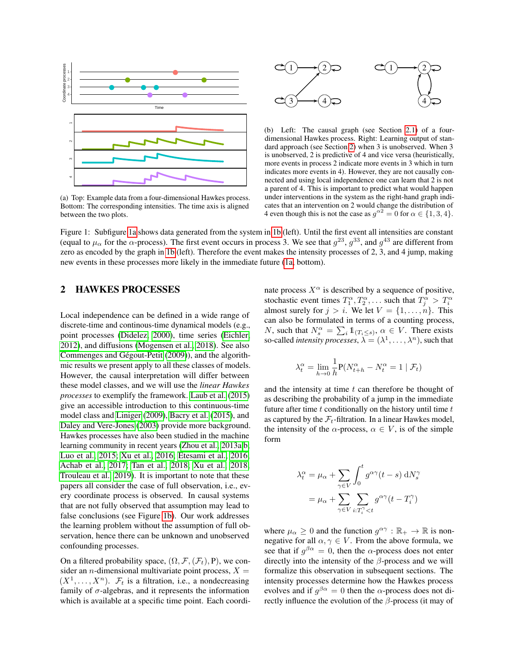<span id="page-1-1"></span>

(a) Top: Example data from a four-dimensional Hawkes process. Bottom: The corresponding intensities. The time axis is aligned between the two plots.



(b) Left: The causal graph (see Section [2.1\)](#page-2-0) of a fourdimensional Hawkes process. Right: Learning output of standard approach (see Section [2\)](#page-1-0) when 3 is unobserved. When 3 is unobserved, 2 is predictive of 4 and vice versa (heuristically, more events in process 2 indicate more events in 3 which in turn indicates more events in 4). However, they are not causally connected and using local independence one can learn that 2 is not a parent of 4. This is important to predict what would happen under interventions in the system as the right-hand graph indicates that an intervention on 2 would change the distribution of 4 even though this is not the case as  $g^{\alpha 2} = 0$  for  $\alpha \in \{1, 3, 4\}.$ 

Figure 1: Subfigure [1a](#page-1-1) shows data generated from the system in [1b](#page-1-1) (left). Until the first event all intensities are constant (equal to  $\mu_\alpha$  for the  $\alpha$ -process). The first event occurs in process 3. We see that  $g^{23}$ ,  $g^{33}$ , and  $g^{43}$  are different from zero as encoded by the graph in [1b](#page-1-1) (left). Therefore the event makes the intensity processes of 2, 3, and 4 jump, making new events in these processes more likely in the immediate future [\(1a,](#page-1-1) bottom).

## <span id="page-1-0"></span>2 HAWKES PROCESSES

Local independence can be defined in a wide range of discrete-time and continous-time dynamical models (e.g., point processes [\(Didelez, 2000\)](#page-8-7), time series [\(Eichler,](#page-8-8) [2012\)](#page-8-8), and diffusions [\(Mogensen et al., 2018\)](#page-8-6). See also Commenges and Gégout-Petit [\(2009\)](#page-8-9)), and the algorithmic results we present apply to all these classes of models. However, the causal interpretation will differ between these model classes, and we will use the *linear Hawkes processes* to exemplify the framework. [Laub et al.](#page-8-10) [\(2015\)](#page-8-10) give an accessible introduction to this continuous-time model class and [Liniger](#page-8-11) [\(2009\)](#page-8-11), [Bacry et al.](#page-8-12) [\(2015\)](#page-8-12), and [Daley and Vere-Jones](#page-8-13) [\(2003\)](#page-8-13) provide more background. Hawkes processes have also been studied in the machine learning community in recent years [\(Zhou et al., 2013a,](#page-9-2)[b;](#page-9-3) [Luo et al., 2015;](#page-8-14) [Xu et al., 2016;](#page-9-4) [Etesami et al., 2016;](#page-8-15) [Achab et al., 2017;](#page-8-16) [Tan et al., 2018;](#page-9-5) [Xu et al., 2018;](#page-9-6) [Trouleau et al., 2019\)](#page-9-7). It is important to note that these papers all consider the case of full observation, i.e., every coordinate process is observed. In causal systems that are not fully observed that assumption may lead to false conclusions (see Figure [1b\)](#page-1-1). Our work addresses the learning problem without the assumption of full observation, hence there can be unknown and unobserved confounding processes.

On a filtered probability space,  $(\Omega, \mathcal{F}, (\mathcal{F}_t), P)$ , we consider an *n*-dimensional multivariate point process,  $X =$  $(X^1, \ldots, X^n)$ .  $\mathcal{F}_t$  is a filtration, i.e., a nondecreasing family of  $\sigma$ -algebras, and it represents the information which is available at a specific time point. Each coordinate process  $X^{\alpha}$  is described by a sequence of positive, stochastic event times  $T_1^{\alpha}, T_2^{\alpha}, \dots$  such that  $T_j^{\alpha} > T_i^{\alpha}$ almost surely for  $j > i$ . We let  $V = \{1, \ldots, n\}$ . This can also be formulated in terms of a counting process, *N*, such that  $N_s^{\alpha} = \sum_i \mathbb{1}_{\{T_i \leq s\}}$ ,  $\alpha \in V$ . There exists so-called *intensity processes*,  $\lambda = (\lambda^1, \dots, \lambda^n)$ , such that

$$
\lambda_t^{\alpha} = \lim_{h \to 0} \frac{1}{h} \mathbf{P}(N_{t+h}^{\alpha} - N_t^{\alpha} = 1 \mid \mathcal{F}_t)
$$

and the intensity at time  $t$  can therefore be thought of as describing the probability of a jump in the immediate future after time  $t$  conditionally on the history until time  $t$ as captured by the  $\mathcal{F}_t$ -filtration. In a linear Hawkes model, the intensity of the  $\alpha$ -process,  $\alpha \in V$ , is of the simple form

$$
\lambda_t^{\alpha} = \mu_{\alpha} + \sum_{\gamma \in V} \int_0^t g^{\alpha \gamma} (t - s) \, dN_s^{\gamma}
$$

$$
= \mu_{\alpha} + \sum_{\gamma \in V} \sum_{i: T_i^{\gamma} < t} g^{\alpha \gamma} (t - T_i^{\gamma})
$$

where  $\mu_{\alpha} \geq 0$  and the function  $g^{\alpha \gamma} : \mathbb{R}_+ \to \mathbb{R}$  is nonnegative for all  $\alpha, \gamma \in V$ . From the above formula, we see that if  $g^{\beta \alpha} = 0$ , then the  $\alpha$ -process does not enter directly into the intensity of the  $\beta$ -process and we will formalize this observation in subsequent sections. The intensity processes determine how the Hawkes process evolves and if  $g^{\beta \alpha} = 0$  then the  $\alpha$ -process does not directly influence the evolution of the  $\beta$ -process (it may of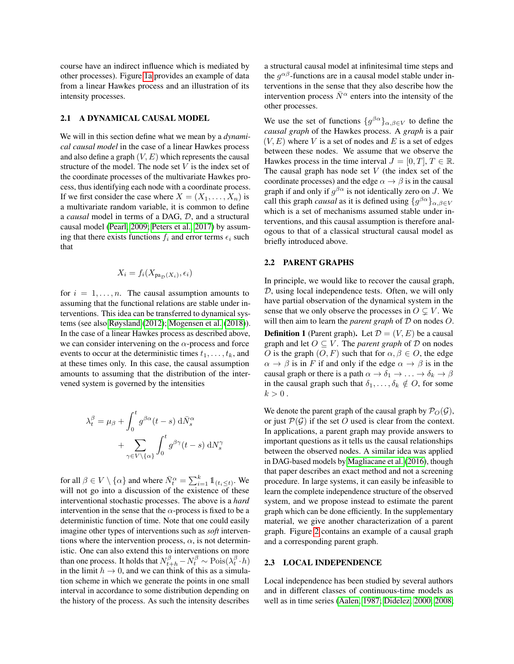course have an indirect influence which is mediated by other processes). Figure [1a](#page-1-1) provides an example of data from a linear Hawkes process and an illustration of its intensity processes.

#### <span id="page-2-0"></span>2.1 A DYNAMICAL CAUSAL MODEL

We will in this section define what we mean by a *dynamical causal model* in the case of a linear Hawkes process and also define a graph  $(V, E)$  which represents the causal structure of the model. The node set  $V$  is the index set of the coordinate processes of the multivariate Hawkes process, thus identifying each node with a coordinate process. If we first consider the case where  $X = (X_1, \ldots, X_n)$  is a multivariate random variable, it is common to define a *causal* model in terms of a DAG, D, and a structural causal model [\(Pearl, 2009;](#page-8-17) [Peters et al., 2017\)](#page-8-18) by assuming that there exists functions  $f_i$  and error terms  $\epsilon_i$  such that

$$
X_i = f_i(X_{\text{pa}_{\mathcal{D}}(X_i)}, \epsilon_i)
$$

for  $i = 1, \ldots, n$ . The causal assumption amounts to assuming that the functional relations are stable under interventions. This idea can be transferred to dynamical systems (see also [Røysland](#page-8-19) [\(2012\)](#page-8-19); [Mogensen et al.](#page-8-6) [\(2018\)](#page-8-6)). In the case of a linear Hawkes process as described above, we can consider intervening on the  $\alpha$ -process and force events to occur at the deterministic times  $t_1, \ldots, t_k$ , and at these times only. In this case, the causal assumption amounts to assuming that the distribution of the intervened system is governed by the intensities

$$
\lambda_t^{\beta} = \mu_{\beta} + \int_0^t g^{\beta \alpha} (t - s) \, d\bar{N}_s^{\alpha} + \sum_{\gamma \in V \setminus {\{\alpha\}}} \int_0^t g^{\beta \gamma} (t - s) \, dN_s^{\gamma}
$$

for all  $\beta \in V \setminus {\{\alpha\}}$  and where  $\bar{N}^{\alpha}_t = \sum_{i=1}^k \mathbb{1}_{(t_i \leq t)}$ . We will not go into a discussion of the existence of these interventional stochastic processes. The above is a *hard* intervention in the sense that the  $\alpha$ -process is fixed to be a deterministic function of time. Note that one could easily imagine other types of interventions such as *soft* interventions where the intervention process,  $\alpha$ , is not deterministic. One can also extend this to interventions on more than one process. It holds that  $N_{t+h}^{\beta} - N_t^{\beta} \sim \text{Pois}(\lambda_t^{\beta} \cdot h)$ in the limit  $h \to 0$ , and we can think of this as a simulation scheme in which we generate the points in one small interval in accordance to some distribution depending on the history of the process. As such the intensity describes

a structural causal model at infinitesimal time steps and the  $g^{\alpha\beta}$ -functions are in a causal model stable under interventions in the sense that they also describe how the intervention process  $\bar{N}^{\alpha}$  enters into the intensity of the other processes.

We use the set of functions  $\{g^{\beta\alpha}\}_{{\alpha,\beta\in V}}$  to define the *causal graph* of the Hawkes process. A *graph* is a pair  $(V, E)$  where V is a set of nodes and E is a set of edges between these nodes. We assume that we observe the Hawkes process in the time interval  $J = [0, T]$ ,  $T \in \mathbb{R}$ . The causal graph has node set  $V$  (the index set of the coordinate processes) and the edge  $\alpha \rightarrow \beta$  is in the causal graph if and only if  $g^{\beta\alpha}$  is not identically zero on J. We call this graph *causal* as it is defined using  ${g^{\beta\alpha}}_{\alpha,\beta \in V}$ which is a set of mechanisms assumed stable under interventions, and this causal assumption is therefore analogous to that of a classical structural causal model as briefly introduced above.

#### 2.2 PARENT GRAPHS

In principle, we would like to recover the causal graph, D, using local independence tests. Often, we will only have partial observation of the dynamical system in the sense that we only observe the processes in  $O \subseteq V$ . We will then aim to learn the *parent graph* of  $D$  on nodes  $O$ . **Definition 1** (Parent graph). Let  $\mathcal{D} = (V, E)$  be a causal graph and let  $O \subseteq V$ . The *parent graph* of  $D$  on nodes O is the graph  $(O, F)$  such that for  $\alpha, \beta \in O$ , the edge  $\alpha \to \beta$  is in F if and only if the edge  $\alpha \to \beta$  is in the causal graph or there is a path  $\alpha \to \delta_1 \to \ldots \to \delta_k \to \beta$ in the causal graph such that  $\delta_1, \ldots, \delta_k \notin O$ , for some  $k > 0$ .

We denote the parent graph of the causal graph by  $\mathcal{P}_{\Omega}(\mathcal{G})$ , or just  $P(G)$  if the set O used is clear from the context. In applications, a parent graph may provide answers to important questions as it tells us the causal relationships between the observed nodes. A similar idea was applied in DAG-based models by [Magliacane et al.](#page-8-3) [\(2016\)](#page-8-3), though that paper describes an exact method and not a screening procedure. In large systems, it can easily be infeasible to learn the complete independence structure of the observed system, and we propose instead to estimate the parent graph which can be done efficiently. In the supplementary material, we give another characterization of a parent graph. Figure [2](#page-3-0) contains an example of a causal graph and a corresponding parent graph.

#### 2.3 LOCAL INDEPENDENCE

Local independence has been studied by several authors and in different classes of continuous-time models as well as in time series [\(Aalen, 1987;](#page-8-20) [Didelez, 2000,](#page-8-7) [2008;](#page-8-21)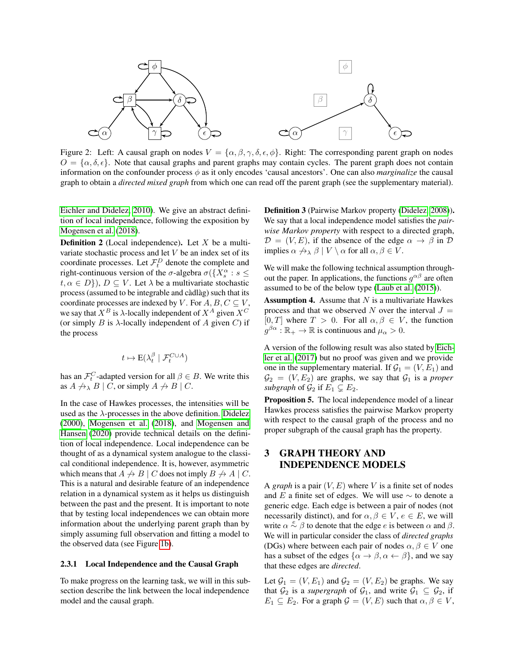<span id="page-3-0"></span>

Figure 2: Left: A causal graph on nodes  $V = {\alpha, \beta, \gamma, \delta, \epsilon, \phi}$ . Right: The corresponding parent graph on nodes  $O = {\{\alpha, \delta, \epsilon\}}$ . Note that causal graphs and parent graphs may contain cycles. The parent graph does not contain information on the confounder process  $\phi$  as it only encodes 'causal ancestors'. One can also *marginalize* the causal graph to obtain a *directed mixed graph* from which one can read off the parent graph (see the supplementary material).

[Eichler and Didelez, 2010\)](#page-8-22). We give an abstract definition of local independence, following the exposition by [Mogensen et al.](#page-8-6) [\(2018\)](#page-8-6).

**Definition 2** (Local independence). Let  $X$  be a multivariate stochastic process and let  $V$  be an index set of its coordinate processes. Let  $\mathcal{F}_t^D$  denote the complete and right-continuous version of the  $\sigma$ -algebra  $\sigma({X_s^{\alpha}: s \leq \mathbb{R}^d)}$  $t, \alpha \in D$ ,  $D \subset V$ . Let  $\lambda$  be a multivariate stochastic process (assumed to be integrable and càdlàg) such that its coordinate processes are indexed by V. For  $A, B, C \subseteq V$ , we say that  $X^B$  is  $\lambda$ -locally independent of  $X^A$  given  $X^C$ (or simply  $B$  is  $\lambda$ -locally independent of  $A$  given  $C$ ) if the process

$$
t\mapsto \mathrm{E}(\lambda_t^\beta\mid \mathcal{F}^{C\cup A}_t)
$$

has an  $\mathcal{F}^C_t$ -adapted version for all  $\beta \in B$ . We write this as  $A \nrightarrow_{\lambda} B \mid C$ , or simply  $A \nrightarrow B \mid C$ .

In the case of Hawkes processes, the intensities will be used as the  $\lambda$ -processes in the above definition. [Didelez](#page-8-7) [\(2000\)](#page-8-7), [Mogensen et al.](#page-8-6) [\(2018\)](#page-8-6), and [Mogensen and](#page-8-23) [Hansen](#page-8-23) [\(2020\)](#page-8-23) provide technical details on the definition of local independence. Local independence can be thought of as a dynamical system analogue to the classical conditional independence. It is, however, asymmetric which means that  $A \nrightarrow B \mid C$  does not imply  $B \nrightarrow A \mid C$ . This is a natural and desirable feature of an independence relation in a dynamical system as it helps us distinguish between the past and the present. It is important to note that by testing local independences we can obtain more information about the underlying parent graph than by simply assuming full observation and fitting a model to the observed data (see Figure [1b\)](#page-1-1).

#### 2.3.1 Local Independence and the Causal Graph

To make progress on the learning task, we will in this subsection describe the link between the local independence model and the causal graph.

Definition 3 (Pairwise Markov property [\(Didelez, 2008\)](#page-8-21)). We say that a local independence model satisfies the *pairwise Markov property* with respect to a directed graph,  $\mathcal{D} = (V, E)$ , if the absence of the edge  $\alpha \to \beta$  in  $\mathcal{D}$ implies  $\alpha \nrightarrow \alpha \beta \mid V \setminus \alpha$  for all  $\alpha, \beta \in V$ .

We will make the following technical assumption throughout the paper. In applications, the functions  $g^{\alpha\beta}$  are often assumed to be of the below type [\(Laub et al.](#page-8-10) [\(2015\)](#page-8-10)).

**Assumption 4.** Assume that  $N$  is a multivariate Hawkes process and that we observed N over the interval  $J =$  $[0, T]$  where  $T > 0$ . For all  $\alpha, \beta \in V$ , the function  $g^{\beta\alpha} : \mathbb{R}_+ \to \mathbb{R}$  is continuous and  $\mu_\alpha > 0$ .

A version of the following result was also stated by [Eich](#page-8-24)[ler et al.](#page-8-24) [\(2017\)](#page-8-24) but no proof was given and we provide one in the supplementary material. If  $G_1 = (V, E_1)$  and  $\mathcal{G}_2 = (V, E_2)$  are graphs, we say that  $\mathcal{G}_1$  is a *proper subgraph* of  $\mathcal{G}_2$  if  $E_1 \subseteq E_2$ .

<span id="page-3-1"></span>Proposition 5. The local independence model of a linear Hawkes process satisfies the pairwise Markov property with respect to the causal graph of the process and no proper subgraph of the causal graph has the property.

# 3 GRAPH THEORY AND INDEPENDENCE MODELS

A *graph* is a pair  $(V, E)$  where V is a finite set of nodes and E a finite set of edges. We will use  $\sim$  to denote a generic edge. Each edge is between a pair of nodes (not necessarily distinct), and for  $\alpha, \beta \in V$ ,  $e \in E$ , we will write  $\alpha \stackrel{e}{\sim} \beta$  to denote that the edge e is between  $\alpha$  and  $\beta$ . We will in particular consider the class of *directed graphs* (DGs) where between each pair of nodes  $\alpha, \beta \in V$  one has a subset of the edges  $\{\alpha \to \beta, \alpha \leftarrow \beta\}$ , and we say that these edges are *directed*.

Let  $G_1 = (V, E_1)$  and  $G_2 = (V, E_2)$  be graphs. We say that  $\mathcal{G}_2$  is a *supergraph* of  $\mathcal{G}_1$ , and write  $\mathcal{G}_1 \subseteq \mathcal{G}_2$ , if  $E_1 \subseteq E_2$ . For a graph  $\mathcal{G} = (V, E)$  such that  $\alpha, \beta \in V$ ,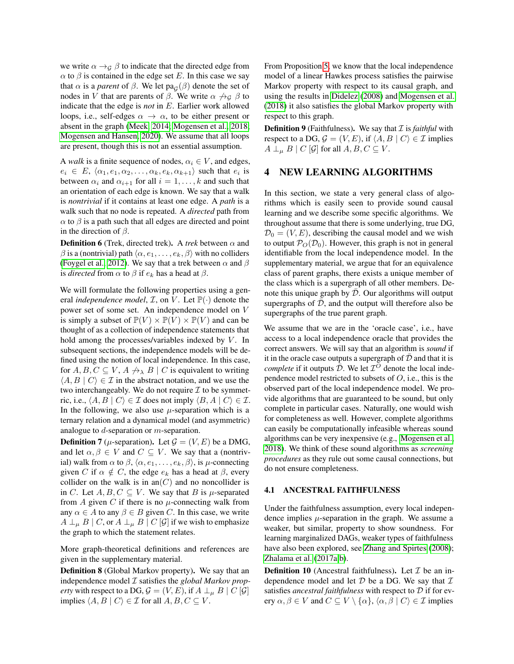we write  $\alpha \rightarrow_G \beta$  to indicate that the directed edge from  $\alpha$  to  $\beta$  is contained in the edge set E. In this case we say that  $\alpha$  is a *parent* of  $\beta$ . We let  $\text{pa}_{\mathcal{G}}(\beta)$  denote the set of nodes in V that are parents of  $\beta$ . We write  $\alpha \not\rightarrow_{\mathcal{G}} \beta$  to indicate that the edge is *not* in E. Earlier work allowed loops, i.e., self-edges  $\alpha \to \alpha$ , to be either present or absent in the graph [\(Meek, 2014;](#page-8-5) [Mogensen et al., 2018;](#page-8-6) [Mogensen and Hansen, 2020\)](#page-8-23). We assume that all loops are present, though this is not an essential assumption.

A *walk* is a finite sequence of nodes,  $\alpha_i \in V$ , and edges,  $e_i \in E, \langle \alpha_1, e_1, \alpha_2, \ldots, \alpha_k, e_k, \alpha_{k+1} \rangle$  such that  $e_i$  is between  $\alpha_i$  and  $\alpha_{i+1}$  for all  $i = 1, \ldots, k$  and such that an orientation of each edge is known. We say that a walk is *nontrivial* if it contains at least one edge. A *path* is a walk such that no node is repeated. A *directed* path from  $\alpha$  to  $\beta$  is a path such that all edges are directed and point in the direction of  $\beta$ .

**Definition 6** (Trek, directed trek). A *trek* between  $\alpha$  and  $\beta$  is a (nontrivial) path  $\langle \alpha, e_1, \ldots, e_k, \beta \rangle$  with no colliders [\(Foygel et al., 2012\)](#page-8-25). We say that a trek between  $\alpha$  and  $\beta$ is *directed* from  $\alpha$  to  $\beta$  if  $e_k$  has a head at  $\beta$ .

We will formulate the following properties using a general *independence model*,  $I$ , on  $V$ . Let  $\mathbb{P}(\cdot)$  denote the power set of some set. An independence model on V is simply a subset of  $\mathbb{P}(V) \times \mathbb{P}(V) \times \mathbb{P}(V)$  and can be thought of as a collection of independence statements that hold among the processes/variables indexed by  $V$ . In subsequent sections, the independence models will be defined using the notion of local independence. In this case, for  $A, B, C \subseteq V, A \not\rightarrow_{\lambda} B \mid C$  is equivalent to writing  $\langle A, B | C \rangle \in \mathcal{I}$  in the abstract notation, and we use the two interchangeably. We do not require  $\mathcal I$  to be symmetric, i.e.,  $\langle A, B | C \rangle \in \mathcal{I}$  does not imply  $\langle B, A | C \rangle \in \mathcal{I}$ . In the following, we also use  $\mu$ -separation which is a ternary relation and a dynamical model (and asymmetric) analogue to d-separation or m-separation.

**Definition 7** ( $\mu$ -separation). Let  $\mathcal{G} = (V, E)$  be a DMG, and let  $\alpha, \beta \in V$  and  $C \subseteq V$ . We say that a (nontrivial) walk from  $\alpha$  to  $\beta$ ,  $\langle \alpha, e_1, \ldots, e_k, \beta \rangle$ , is  $\mu$ -connecting given C if  $\alpha \notin C$ , the edge  $e_k$  has a head at  $\beta$ , every collider on the walk is in an(C) and no noncollider is in C. Let  $A, B, C \subseteq V$ . We say that B is  $\mu$ -separated from A given C if there is no  $\mu$ -connecting walk from any  $\alpha \in A$  to any  $\beta \in B$  given C. In this case, we write  $A \perp_{\mu} B \mid C$ , or  $A \perp_{\mu} B \mid C \neq G$  if we wish to emphasize the graph to which the statement relates.

More graph-theoretical definitions and references are given in the supplementary material.

Definition 8 (Global Markov property). We say that an independence model I satisfies the *global Markov property* with respect to a DG,  $G = (V, E)$ , if  $A \perp_{\mu} B \mid C \left[ \mathcal{G} \right]$ implies  $\langle A, B | C \rangle \in \mathcal{I}$  for all  $A, B, C \subseteq V$ .

From Proposition [5,](#page-3-1) we know that the local independence model of a linear Hawkes process satisfies the pairwise Markov property with respect to its causal graph, and using the results in [Didelez](#page-8-21) [\(2008\)](#page-8-21) and [Mogensen et al.](#page-8-6) [\(2018\)](#page-8-6) it also satisfies the global Markov property with respect to this graph.

**Definition 9** (Faithfulness). We say that *I* is *faithful* with respect to a DG,  $\mathcal{G} = (V, E)$ , if  $\langle A, B | C \rangle \in \mathcal{I}$  implies  $A \perp_{\mu} B \mid C \left[ \mathcal{G} \right]$  for all  $A, B, C \subseteq V$ .

# 4 NEW LEARNING ALGORITHMS

In this section, we state a very general class of algorithms which is easily seen to provide sound causal learning and we describe some specific algorithms. We throughout assume that there is some underlying, true DG,  $\mathcal{D}_0 = (V, E)$ , describing the causal model and we wish to output  $\mathcal{P}_O(\mathcal{D}_0)$ . However, this graph is not in general identifiable from the local independence model. In the supplementary material, we argue that for an equivalence class of parent graphs, there exists a unique member of the class which is a supergraph of all other members. Denote this unique graph by  $D$ . Our algorithms will output supergraphs of  $D$ , and the output will therefore also be supergraphs of the true parent graph.

We assume that we are in the 'oracle case', i.e., have access to a local independence oracle that provides the correct answers. We will say that an algorithm is *sound* if it in the oracle case outputs a supergraph of  $\bar{\mathcal{D}}$  and that it is *complete* if it outputs  $\bar{\bar{\mathcal{D}}}$ . We let  $\bar{\mathcal{I}}^{\bar{O}}$  denote the local independence model restricted to subsets of  $O$ , i.e., this is the observed part of the local independence model. We provide algorithms that are guaranteed to be sound, but only complete in particular cases. Naturally, one would wish for completeness as well. However, complete algorithms can easily be computationally infeasible whereas sound algorithms can be very inexpensive (e.g., [Mogensen et al.,](#page-8-6) [2018\)](#page-8-6). We think of these sound algorithms as *screening procedures* as they rule out some causal connections, but do not ensure completeness.

#### 4.1 ANCESTRAL FAITHFULNESS

Under the faithfulness assumption, every local independence implies  $\mu$ -separation in the graph. We assume a weaker, but similar, property to show soundness. For learning marginalized DAGs, weaker types of faithfulness have also been explored, see [Zhang and Spirtes](#page-9-8) [\(2008\)](#page-9-8); [Zhalama et al.](#page-9-9) [\(2017a](#page-9-9)[,b\)](#page-9-10).

**Definition 10** (Ancestral faithfulness). Let  $\mathcal{I}$  be an independence model and let  $D$  be a DG. We say that  $T$ satisfies *ancestral faithfulness* with respect to D if for every  $\alpha, \beta \in V$  and  $C \subseteq V \setminus \{\alpha\}, \langle \alpha, \beta | C \rangle \in \mathcal{I}$  implies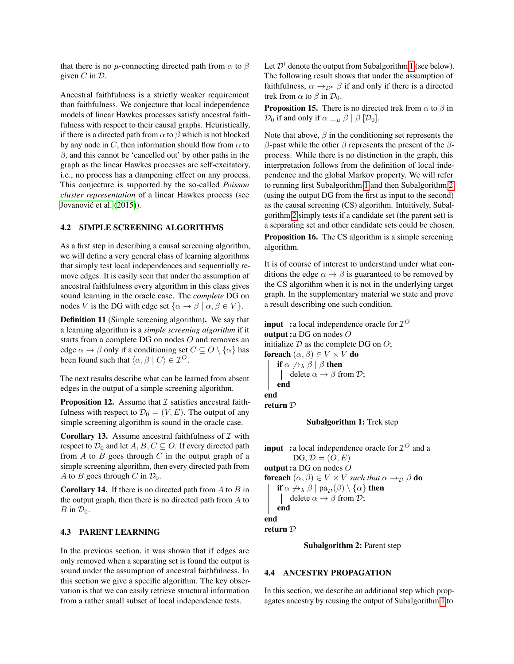that there is no  $\mu$ -connecting directed path from  $\alpha$  to  $\beta$ given  $C$  in  $D$ .

Ancestral faithfulness is a strictly weaker requirement than faithfulness. We conjecture that local independence models of linear Hawkes processes satisfy ancestral faithfulness with respect to their causal graphs. Heuristically, if there is a directed path from  $\alpha$  to  $\beta$  which is not blocked by any node in C, then information should flow from  $\alpha$  to  $\beta$ , and this cannot be 'cancelled out' by other paths in the graph as the linear Hawkes processes are self-excitatory, i.e., no process has a dampening effect on any process. This conjecture is supported by the so-called *Poisson cluster representation* of a linear Hawkes process (see Jovanović et al. [\(2015\)](#page-8-26)).

#### <span id="page-5-0"></span>4.2 SIMPLE SCREENING ALGORITHMS

As a first step in describing a causal screening algorithm, we will define a very general class of learning algorithms that simply test local independences and sequentially remove edges. It is easily seen that under the assumption of ancestral faithfulness every algorithm in this class gives sound learning in the oracle case. The *complete* DG on nodes V is the DG with edge set  $\{\alpha \to \beta \mid \alpha, \beta \in V\}.$ 

Definition 11 (Simple screening algorithm). We say that a learning algorithm is a *simple screening algorithm* if it starts from a complete DG on nodes O and removes an edge  $\alpha \to \beta$  only if a conditioning set  $C \subseteq O \setminus {\{\alpha\}}$  has been found such that  $\langle \alpha, \beta | C \rangle \in \mathcal{I}^O$ .

The next results describe what can be learned from absent edges in the output of a simple screening algorithm.

**Proposition 12.** Assume that  $\mathcal I$  satisfies ancestral faithfulness with respect to  $\mathcal{D}_0 = (V, E)$ . The output of any simple screening algorithm is sound in the oracle case.

<span id="page-5-3"></span>**Corollary 13.** Assume ancestral faithfulness of  $\mathcal I$  with respect to  $\mathcal{D}_0$  and let  $A, B, C \subseteq O$ . If every directed path from  $A$  to  $B$  goes through  $C$  in the output graph of a simple screening algorithm, then every directed path from A to B goes through C in  $\mathcal{D}_0$ .

**Corollary 14.** If there is no directed path from  $A$  to  $B$  in the output graph, then there is no directed path from A to  $B$  in  $\mathcal{D}_0$ .

#### 4.3 PARENT LEARNING

In the previous section, it was shown that if edges are only removed when a separating set is found the output is sound under the assumption of ancestral faithfulness. In this section we give a specific algorithm. The key observation is that we can easily retrieve structural information from a rather small subset of local independence tests.

Let  $\mathcal{D}^t$  denote the output from Subalgorithm [1](#page-5-1) (see below). The following result shows that under the assumption of faithfulness,  $\alpha \rightarrow_{\mathcal{D}^t} \beta$  if and only if there is a directed trek from  $\alpha$  to  $\beta$  in  $\mathcal{D}_0$ .

**Proposition 15.** There is no directed trek from  $\alpha$  to  $\beta$  in  $\mathcal{D}_0$  if and only if  $\alpha \perp_{\mu} \beta \mid \beta \; [\mathcal{D}_0]$ .

Note that above,  $\beta$  in the conditioning set represents the β-past while the other β represents the present of the  $β$ process. While there is no distinction in the graph, this interpretation follows from the definition of local independence and the global Markov property. We will refer to running first Subalgorithm [1](#page-5-1) and then Subalgorithm [2](#page-5-2) (using the output DG from the first as input to the second) as the causal screening (CS) algorithm. Intuitively, Subalgorithm [2](#page-5-2) simply tests if a candidate set (the parent set) is a separating set and other candidate sets could be chosen.

Proposition 16. The CS algorithm is a simple screening algorithm.

It is of course of interest to understand under what conditions the edge  $\alpha \rightarrow \beta$  is guaranteed to be removed by the CS algorithm when it is not in the underlying target graph. In the supplementary material we state and prove a result describing one such condition.

**input** : a local independence oracle for  $\mathcal{I}^O$ output :a DG on nodes O initialize  $D$  as the complete DG on  $O$ ; foreach  $(\alpha, \beta) \in V \times V$  do if  $\alpha \nrightarrow \lambda \beta \mid \beta$  then delete  $\alpha \rightarrow \beta$  from  $\mathcal{D}$ ; end end return D

Subalgorithm 1: Trek step

<span id="page-5-1"></span>**input** : a local independence oracle for  $\mathcal{I}^O$  and a  $DG, \mathcal{D} = (O, E)$ output :a DG on nodes O **foreach**  $(\alpha, \beta) \in V \times V$  *such that*  $\alpha \rightarrow_{\mathcal{D}} \beta$  **do** if  $\alpha \nrightarrow \alpha \beta \mid pa_{\mathcal{D}}(\beta) \setminus {\alpha}$  then delete  $\alpha \rightarrow \beta$  from  $\mathcal{D}$ ; end end return D

<span id="page-5-2"></span>

Subalgorithm 2: Parent step

#### 4.4 ANCESTRY PROPAGATION

In this section, we describe an additional step which propagates ancestry by reusing the output of Subalgorithm [1](#page-5-1) to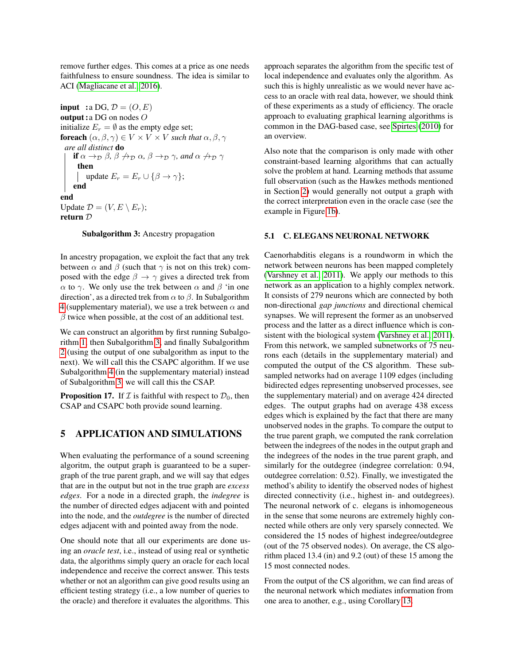remove further edges. This comes at a price as one needs faithfulness to ensure soundness. The idea is similar to ACI [\(Magliacane et al., 2016\)](#page-8-3).

input : a DG,  $\mathcal{D} = (O, E)$ output :a DG on nodes O initialize  $E_r = \emptyset$  as the empty edge set; foreach  $(\alpha, \beta, \gamma) \in V \times V \times V$  *such that*  $\alpha, \beta, \gamma$ *are all distinct* do if  $\alpha \rightarrow_{\mathcal{D}} \beta$ ,  $\beta \not\rightarrow_{\mathcal{D}} \alpha$ ,  $\beta \rightarrow_{\mathcal{D}} \gamma$ , and  $\alpha \not\rightarrow_{\mathcal{D}} \gamma$ then update  $E_r = E_r \cup {\beta \rightarrow \gamma};$ end end Update  $\mathcal{D} = (V, E \setminus E_r);$ return D

### <span id="page-6-0"></span>Subalgorithm 3: Ancestry propagation

In ancestry propagation, we exploit the fact that any trek between  $\alpha$  and  $\beta$  (such that  $\gamma$  is not on this trek) composed with the edge  $\beta \rightarrow \gamma$  gives a directed trek from α to γ. We only use the trek between α and β 'in one direction', as a directed trek from  $\alpha$  to  $\beta$ . In Subalgorithm [4](#page-0-0) (supplementary material), we use a trek between  $\alpha$  and  $\beta$  twice when possible, at the cost of an additional test.

We can construct an algorithm by first running Subalgorithm [1,](#page-5-1) then Subalgorithm [3,](#page-6-0) and finally Subalgorithm [2](#page-5-2) (using the output of one subalgorithm as input to the next). We will call this the CSAPC algorithm. If we use Subalgorithm [4](#page-0-0) (in the supplementary material) instead of Subalgorithm [3,](#page-6-0) we will call this the CSAP.

**Proposition 17.** If  $\mathcal I$  is faithful with respect to  $\mathcal D_0$ , then CSAP and CSAPC both provide sound learning.

# 5 APPLICATION AND SIMULATIONS

When evaluating the performance of a sound screening algoritm, the output graph is guaranteed to be a supergraph of the true parent graph, and we will say that edges that are in the output but not in the true graph are *excess edges*. For a node in a directed graph, the *indegree* is the number of directed edges adjacent with and pointed into the node, and the *outdegree* is the number of directed edges adjacent with and pointed away from the node.

One should note that all our experiments are done using an *oracle test*, i.e., instead of using real or synthetic data, the algorithms simply query an oracle for each local independence and receive the correct answer. This tests whether or not an algorithm can give good results using an efficient testing strategy (i.e., a low number of queries to the oracle) and therefore it evaluates the algorithms. This

approach separates the algorithm from the specific test of local independence and evaluates only the algorithm. As such this is highly unrealistic as we would never have access to an oracle with real data, however, we should think of these experiments as a study of efficiency. The oracle approach to evaluating graphical learning algorithms is common in the DAG-based case, see [Spirtes](#page-8-27) [\(2010\)](#page-8-27) for an overview.

Also note that the comparison is only made with other constraint-based learning algorithms that can actually solve the problem at hand. Learning methods that assume full observation (such as the Hawkes methods mentioned in Section [2\)](#page-1-0) would generally not output a graph with the correct interpretation even in the oracle case (see the example in Figure [1b\)](#page-1-1).

#### 5.1 C. ELEGANS NEURONAL NETWORK

Caenorhabditis elegans is a roundworm in which the network between neurons has been mapped completely [\(Varshney et al., 2011\)](#page-9-11). We apply our methods to this network as an application to a highly complex network. It consists of 279 neurons which are connected by both non-directional *gap junctions* and directional chemical synapses. We will represent the former as an unobserved process and the latter as a direct influence which is consistent with the biological system [\(Varshney et al., 2011\)](#page-9-11). From this network, we sampled subnetworks of 75 neurons each (details in the supplementary material) and computed the output of the CS algorithm. These subsampled networks had on average 1109 edges (including bidirected edges representing unobserved processes, see the supplementary material) and on average 424 directed edges. The output graphs had on average 438 excess edges which is explained by the fact that there are many unobserved nodes in the graphs. To compare the output to the true parent graph, we computed the rank correlation between the indegrees of the nodes in the output graph and the indegrees of the nodes in the true parent graph, and similarly for the outdegree (indegree correlation: 0.94, outdegree correlation: 0.52). Finally, we investigated the method's ability to identify the observed nodes of highest directed connectivity (i.e., highest in- and outdegrees). The neuronal network of c. elegans is inhomogeneous in the sense that some neurons are extremely highly connected while others are only very sparsely connected. We considered the 15 nodes of highest indegree/outdegree (out of the 75 observed nodes). On average, the CS algorithm placed 13.4 (in) and 9.2 (out) of these 15 among the 15 most connected nodes.

From the output of the CS algorithm, we can find areas of the neuronal network which mediates information from one area to another, e.g., using Corollary [13.](#page-5-3)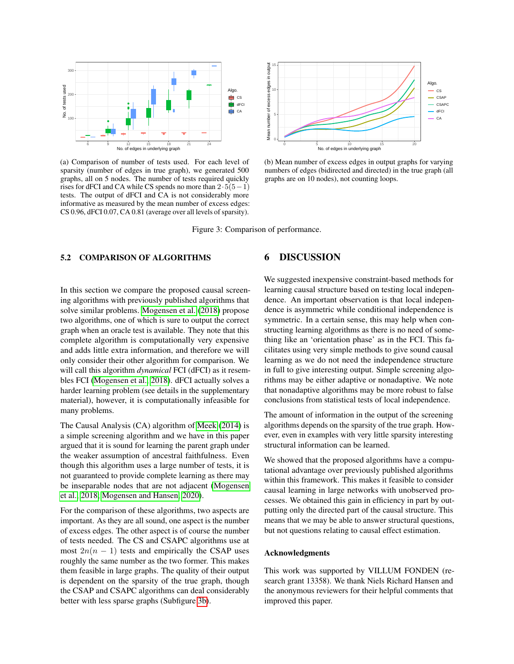<span id="page-7-0"></span>

(a) Comparison of number of tests used. For each level of sparsity (number of edges in true graph), we generated 500 graphs, all on 5 nodes. The number of tests required quickly rises for dFCI and CA while CS spends no more than  $2 \cdot 5(5-1)$ tests. The output of dFCI and CA is not considerably more informative as measured by the mean number of excess edges: CS 0.96, dFCI 0.07, CA 0.81 (average over all levels of sparsity).



(b) Mean number of excess edges in output graphs for varying numbers of edges (bidirected and directed) in the true graph (all graphs are on 10 nodes), not counting loops.

Figure 3: Comparison of performance.

### 5.2 COMPARISON OF ALGORITHMS

In this section we compare the proposed causal screening algorithms with previously published algorithms that solve similar problems. [Mogensen et al.](#page-8-6) [\(2018\)](#page-8-6) propose two algorithms, one of which is sure to output the correct graph when an oracle test is available. They note that this complete algorithm is computationally very expensive and adds little extra information, and therefore we will only consider their other algorithm for comparison. We will call this algorithm *dynamical* FCI (dFCI) as it resembles FCI [\(Mogensen et al., 2018\)](#page-8-6). dFCI actually solves a harder learning problem (see details in the supplementary material), however, it is computationally infeasible for many problems.

The Causal Analysis (CA) algorithm of [Meek](#page-8-5) [\(2014\)](#page-8-5) is a simple screening algorithm and we have in this paper argued that it is sound for learning the parent graph under the weaker assumption of ancestral faithfulness. Even though this algorithm uses a large number of tests, it is not guaranteed to provide complete learning as there may be inseparable nodes that are not adjacent [\(Mogensen](#page-8-6) [et al., 2018;](#page-8-6) [Mogensen and Hansen, 2020\)](#page-8-23).

For the comparison of these algorithms, two aspects are important. As they are all sound, one aspect is the number of excess edges. The other aspect is of course the number of tests needed. The CS and CSAPC algorithms use at most  $2n(n - 1)$  tests and empirically the CSAP uses roughly the same number as the two former. This makes them feasible in large graphs. The quality of their output is dependent on the sparsity of the true graph, though the CSAP and CSAPC algorithms can deal considerably better with less sparse graphs (Subfigure [3b\)](#page-7-0).

### 6 DISCUSSION

We suggested inexpensive constraint-based methods for learning causal structure based on testing local independence. An important observation is that local independence is asymmetric while conditional independence is symmetric. In a certain sense, this may help when constructing learning algorithms as there is no need of something like an 'orientation phase' as in the FCI. This facilitates using very simple methods to give sound causal learning as we do not need the independence structure in full to give interesting output. Simple screening algorithms may be either adaptive or nonadaptive. We note that nonadaptive algorithms may be more robust to false conclusions from statistical tests of local independence.

The amount of information in the output of the screening algorithms depends on the sparsity of the true graph. However, even in examples with very little sparsity interesting structural information can be learned.

We showed that the proposed algorithms have a computational advantage over previously published algorithms within this framework. This makes it feasible to consider causal learning in large networks with unobserved processes. We obtained this gain in efficiency in part by outputting only the directed part of the causal structure. This means that we may be able to answer structural questions, but not questions relating to causal effect estimation.

#### Acknowledgments

This work was supported by VILLUM FONDEN (research grant 13358). We thank Niels Richard Hansen and the anonymous reviewers for their helpful comments that improved this paper.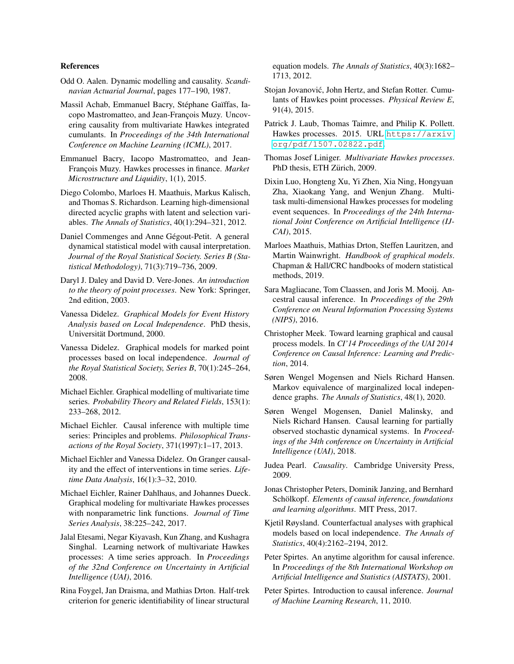#### References

- <span id="page-8-20"></span>Odd O. Aalen. Dynamic modelling and causality. *Scandinavian Actuarial Journal*, pages 177–190, 1987.
- <span id="page-8-16"></span>Massil Achab, Emmanuel Bacry, Stéphane Gaïffas, Iacopo Mastromatteo, and Jean-François Muzy. Uncovering causality from multivariate Hawkes integrated cumulants. In *Proceedings of the 34th International Conference on Machine Learning (ICML)*, 2017.
- <span id="page-8-12"></span>Emmanuel Bacry, Iacopo Mastromatteo, and Jean-François Muzy. Hawkes processes in finance. *Market Microstructure and Liquidity*, 1(1), 2015.
- <span id="page-8-1"></span>Diego Colombo, Marloes H. Maathuis, Markus Kalisch, and Thomas S. Richardson. Learning high-dimensional directed acyclic graphs with latent and selection variables. *The Annals of Statistics*, 40(1):294–321, 2012.
- <span id="page-8-9"></span>Daniel Commenges and Anne Gégout-Petit. A general dynamical statistical model with causal interpretation. *Journal of the Royal Statistical Society. Series B (Statistical Methodology)*, 71(3):719–736, 2009.
- <span id="page-8-13"></span>Daryl J. Daley and David D. Vere-Jones. *An introduction to the theory of point processes*. New York: Springer, 2nd edition, 2003.
- <span id="page-8-7"></span>Vanessa Didelez. *Graphical Models for Event History Analysis based on Local Independence*. PhD thesis, Universität Dortmund, 2000.
- <span id="page-8-21"></span>Vanessa Didelez. Graphical models for marked point processes based on local independence. *Journal of the Royal Statistical Society, Series B*, 70(1):245–264, 2008.
- <span id="page-8-8"></span>Michael Eichler. Graphical modelling of multivariate time series. *Probability Theory and Related Fields*, 153(1): 233–268, 2012.
- <span id="page-8-4"></span>Michael Eichler. Causal inference with multiple time series: Principles and problems. *Philosophical Transactions of the Royal Society*, 371(1997):1–17, 2013.
- <span id="page-8-22"></span>Michael Eichler and Vanessa Didelez. On Granger causality and the effect of interventions in time series. *Lifetime Data Analysis*, 16(1):3–32, 2010.
- <span id="page-8-24"></span>Michael Eichler, Rainer Dahlhaus, and Johannes Dueck. Graphical modeling for multivariate Hawkes processes with nonparametric link functions. *Journal of Time Series Analysis*, 38:225–242, 2017.
- <span id="page-8-15"></span>Jalal Etesami, Negar Kiyavash, Kun Zhang, and Kushagra Singhal. Learning network of multivariate Hawkes processes: A time series approach. In *Proceedings of the 32nd Conference on Uncertainty in Artificial Intelligence (UAI)*, 2016.
- <span id="page-8-25"></span>Rina Foygel, Jan Draisma, and Mathias Drton. Half-trek criterion for generic identifiability of linear structural

equation models. *The Annals of Statistics*, 40(3):1682– 1713, 2012.

- <span id="page-8-26"></span>Stojan Jovanović, John Hertz, and Stefan Rotter. Cumulants of Hawkes point processes. *Physical Review E*, 91(4), 2015.
- <span id="page-8-10"></span>Patrick J. Laub, Thomas Taimre, and Philip K. Pollett. Hawkes processes. 2015. URL [https://arxiv.](https://arxiv.org/pdf/1507.02822.pdf) [org/pdf/1507.02822.pdf](https://arxiv.org/pdf/1507.02822.pdf).
- <span id="page-8-11"></span>Thomas Josef Liniger. *Multivariate Hawkes processes*. PhD thesis, ETH Zürich, 2009.
- <span id="page-8-14"></span>Dixin Luo, Hongteng Xu, Yi Zhen, Xia Ning, Hongyuan Zha, Xiaokang Yang, and Wenjun Zhang. Multitask multi-dimensional Hawkes processes for modeling event sequences. In *Proceedings of the 24th International Joint Conference on Artificial Intelligence (IJ-CAI)*, 2015.
- <span id="page-8-0"></span>Marloes Maathuis, Mathias Drton, Steffen Lauritzen, and Martin Wainwright. *Handbook of graphical models*. Chapman & Hall/CRC handbooks of modern statistical methods, 2019.
- <span id="page-8-3"></span>Sara Magliacane, Tom Claassen, and Joris M. Mooij. Ancestral causal inference. In *Proceedings of the 29th Conference on Neural Information Processing Systems (NIPS)*, 2016.
- <span id="page-8-5"></span>Christopher Meek. Toward learning graphical and causal process models. In *CI'14 Proceedings of the UAI 2014 Conference on Causal Inference: Learning and Prediction*, 2014.
- <span id="page-8-23"></span>Søren Wengel Mogensen and Niels Richard Hansen. Markov equivalence of marginalized local independence graphs. *The Annals of Statistics*, 48(1), 2020.
- <span id="page-8-6"></span>Søren Wengel Mogensen, Daniel Malinsky, and Niels Richard Hansen. Causal learning for partially observed stochastic dynamical systems. In *Proceedings of the 34th conference on Uncertainty in Artificial Intelligence (UAI)*, 2018.
- <span id="page-8-17"></span>Judea Pearl. *Causality*. Cambridge University Press, 2009.
- <span id="page-8-18"></span>Jonas Christopher Peters, Dominik Janzing, and Bernhard Schölkopf. *Elements of causal inference, foundations and learning algorithms*. MIT Press, 2017.
- <span id="page-8-19"></span>Kjetil Røysland. Counterfactual analyses with graphical models based on local independence. *The Annals of Statistics*, 40(4):2162–2194, 2012.
- <span id="page-8-2"></span>Peter Spirtes. An anytime algorithm for causal inference. In *Proceedings of the 8th International Workshop on Artificial Intelligence and Statistics (AISTATS)*, 2001.
- <span id="page-8-27"></span>Peter Spirtes. Introduction to causal inference. *Journal of Machine Learning Research*, 11, 2010.